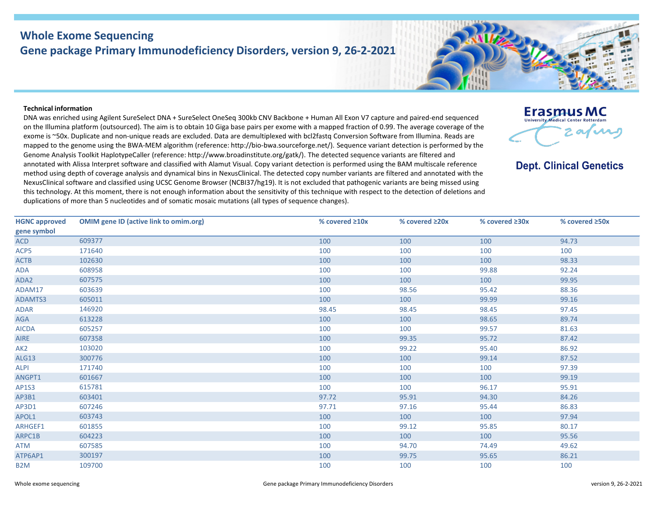## **Whole Exome Sequencing Gene package Primary Immunodeficiency Disorders, version 9, 26-2-2021**

## **Technical information**

DNA was enriched using Agilent SureSelect DNA + SureSelect OneSeq 300kb CNV Backbone + Human All Exon V7 capture and paired-end sequenced on the Illumina platform (outsourced). The aim is to obtain 10 Giga base pairs per exome with a mapped fraction of 0.99. The average coverage of the exome is ~50x. Duplicate and non-unique reads are excluded. Data are demultiplexed with bcl2fastq Conversion Software from Illumina. Reads are mapped to the genome using the BWA-MEM algorithm (reference: http://bio-bwa.sourceforge.net/). Sequence variant detection is performed by the Genome Analysis Toolkit HaplotypeCaller (reference: http://www.broadinstitute.org/gatk/). The detected sequence variants are filtered and annotated with Alissa Interpret software and classified with Alamut Visual. Copy variant detection is performed using the BAM multiscale reference method using depth of coverage analysis and dynamical bins in NexusClinical. The detected copy number variants are filtered and annotated with the NexusClinical software and classified using UCSC Genome Browser (NCBI37/hg19). It is not excluded that pathogenic variants are being missed using this technology. At this moment, there is not enough information about the sensitivity of this technique with respect to the detection of deletions and duplications of more than 5 nucleotides and of somatic mosaic mutations (all types of sequence changes).

| <b>HGNC approved</b> | <b>OMIM gene ID (active link to omim.org)</b> | % covered $\geq 10x$ | % covered ≥20x | % covered ≥30x | % covered ≥50x |
|----------------------|-----------------------------------------------|----------------------|----------------|----------------|----------------|
| gene symbol          |                                               |                      |                |                |                |
| <b>ACD</b>           | 609377                                        | 100                  | 100            | 100            | 94.73          |
| ACP5                 | 171640                                        | 100                  | 100            | 100            | 100            |
| <b>ACTB</b>          | 102630                                        | 100                  | 100            | 100            | 98.33          |
| ADA                  | 608958                                        | 100                  | 100            | 99.88          | 92.24          |
| ADA2                 | 607575                                        | 100                  | 100            | 100            | 99.95          |
| ADAM17               | 603639                                        | 100                  | 98.56          | 95.42          | 88.36          |
| ADAMTS3              | 605011                                        | 100                  | 100            | 99.99          | 99.16          |
| <b>ADAR</b>          | 146920                                        | 98.45                | 98.45          | 98.45          | 97.45          |
| AGA                  | 613228                                        | 100                  | 100            | 98.65          | 89.74          |
| <b>AICDA</b>         | 605257                                        | 100                  | 100            | 99.57          | 81.63          |
| <b>AIRE</b>          | 607358                                        | 100                  | 99.35          | 95.72          | 87.42          |
| AK <sub>2</sub>      | 103020                                        | 100                  | 99.22          | 95.40          | 86.92          |
| <b>ALG13</b>         | 300776                                        | 100                  | 100            | 99.14          | 87.52          |
| <b>ALPI</b>          | 171740                                        | 100                  | 100            | 100            | 97.39          |
| ANGPT1               | 601667                                        | 100                  | 100            | 100            | 99.19          |
| <b>AP1S3</b>         | 615781                                        | 100                  | 100            | 96.17          | 95.91          |
| AP3B1                | 603401                                        | 97.72                | 95.91          | 94.30          | 84.26          |
| AP3D1                | 607246                                        | 97.71                | 97.16          | 95.44          | 86.83          |
| APOL1                | 603743                                        | 100                  | 100            | 100            | 97.94          |
| ARHGEF1              | 601855                                        | 100                  | 99.12          | 95.85          | 80.17          |
| ARPC1B               | 604223                                        | 100                  | 100            | 100            | 95.56          |
| <b>ATM</b>           | 607585                                        | 100                  | 94.70          | 74.49          | 49.62          |
| ATP6AP1              | 300197                                        | 100                  | 99.75          | 95.65          | 86.21          |
| B <sub>2</sub> M     | 109700                                        | 100                  | 100            | 100            | 100            |



**Dept. Clinical Genetics**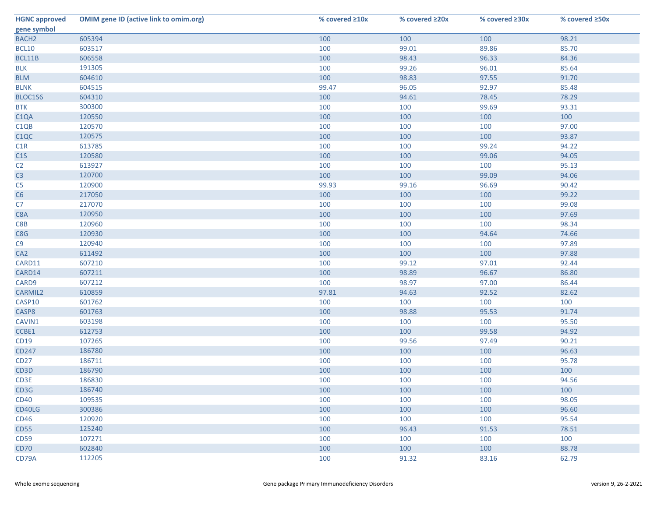| <b>HGNC approved</b> | <b>OMIM gene ID (active link to omim.org)</b> | % covered ≥10x | % covered ≥20x | % covered $\geq 30x$ | % covered ≥50x |
|----------------------|-----------------------------------------------|----------------|----------------|----------------------|----------------|
| gene symbol          |                                               |                |                |                      |                |
| BACH <sub>2</sub>    | 605394                                        | 100            | 100            | 100                  | 98.21          |
| <b>BCL10</b>         | 603517                                        | 100            | 99.01          | 89.86                | 85.70          |
| BCL11B               | 606558                                        | 100            | 98.43          | 96.33                | 84.36          |
| <b>BLK</b>           | 191305                                        | 100            | 99.26          | 96.01                | 85.64          |
| <b>BLM</b>           | 604610                                        | 100            | 98.83          | 97.55                | 91.70          |
| <b>BLNK</b>          | 604515                                        | 99.47          | 96.05          | 92.97                | 85.48          |
| BLOC1S6              | 604310                                        | 100            | 94.61          | 78.45                | 78.29          |
| <b>BTK</b>           | 300300                                        | 100            | 100            | 99.69                | 93.31          |
| C <sub>1</sub> QA    | 120550                                        | 100            | 100            | 100                  | 100            |
| C <sub>1</sub> QB    | 120570                                        | 100            | 100            | 100                  | 97.00          |
| C <sub>1</sub> QC    | 120575                                        | 100            | 100            | 100                  | 93.87          |
| C1R                  | 613785                                        | 100            | 100            | 99.24                | 94.22          |
| C1S                  | 120580                                        | 100            | 100            | 99.06                | 94.05          |
| C <sub>2</sub>       | 613927                                        | 100            | 100            | 100                  | 95.13          |
| C <sub>3</sub>       | 120700                                        | 100            | 100            | 99.09                | 94.06          |
| C <sub>5</sub>       | 120900                                        | 99.93          | 99.16          | 96.69                | 90.42          |
| C6                   | 217050                                        | 100            | 100            | 100                  | 99.22          |
| C7                   | 217070                                        | 100            | 100            | 100                  | 99.08          |
| C8A                  | 120950                                        | 100            | 100            | 100                  | 97.69          |
| C8B                  | 120960                                        | 100            | 100            | 100                  | 98.34          |
| C8G                  | 120930                                        | 100            | 100            | 94.64                | 74.66          |
| C9                   | 120940                                        | 100            | 100            | 100                  | 97.89          |
| CA <sub>2</sub>      | 611492                                        | 100            | 100            | 100                  | 97.88          |
| CARD11               | 607210                                        | 100            | 99.12          | 97.01                | 92.44          |
| CARD14               | 607211                                        | 100            | 98.89          | 96.67                | 86.80          |
| CARD9                | 607212                                        | 100            | 98.97          | 97.00                | 86.44          |
| <b>CARMIL2</b>       | 610859                                        | 97.81          | 94.63          | 92.52                | 82.62          |
| CASP10               | 601762                                        | 100            | 100            | 100                  | 100            |
| CASP8                | 601763                                        | 100            | 98.88          | 95.53                | 91.74          |
| CAVIN1               | 603198                                        | 100            | 100            | 100                  | 95.50          |
| CCBE1                | 612753                                        | 100            | 100            | 99.58                | 94.92          |
| CD19                 | 107265                                        | 100            | 99.56          | 97.49                | 90.21          |
| CD247                | 186780                                        | 100            | 100            | 100                  | 96.63          |
| <b>CD27</b>          | 186711                                        | 100            | 100            | 100                  | 95.78          |
| CD3D                 | 186790                                        | 100            | 100            | 100                  | 100            |
| CD3E                 | 186830                                        | 100            | 100            | 100                  | 94.56          |
| CD3G                 | 186740                                        | 100            | 100            | 100                  | 100            |
| <b>CD40</b>          | 109535                                        | 100            | 100            | 100                  | 98.05          |
| CD40LG               | 300386                                        | 100            | 100            | 100                  | 96.60          |
| <b>CD46</b>          | 120920                                        | 100            | 100            | 100                  | 95.54          |
| <b>CD55</b>          | 125240                                        | 100            | 96.43          | 91.53                | 78.51          |
| <b>CD59</b>          | 107271                                        | 100            | 100            | 100                  | 100            |
| CD70                 | 602840                                        | 100            | 100            | 100                  | 88.78          |
| CD79A                | 112205                                        | 100            | 91.32          | 83.16                | 62.79          |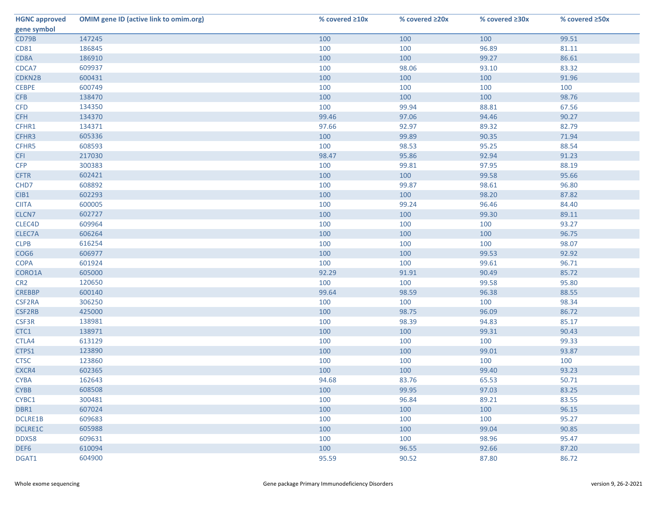| <b>HGNC approved</b> | <b>OMIM gene ID (active link to omim.org)</b> | % covered ≥10x | % covered ≥20x | % covered $\geq 30x$ | % covered ≥50x |
|----------------------|-----------------------------------------------|----------------|----------------|----------------------|----------------|
| gene symbol          |                                               |                |                |                      |                |
| CD79B                | 147245                                        | 100            | 100            | 100                  | 99.51          |
| <b>CD81</b>          | 186845                                        | 100            | 100            | 96.89                | 81.11          |
| CD8A                 | 186910                                        | 100            | 100            | 99.27                | 86.61          |
| CDCA7                | 609937                                        | 100            | 98.06          | 93.10                | 83.32          |
| CDKN2B               | 600431                                        | 100            | 100            | 100                  | 91.96          |
| <b>CEBPE</b>         | 600749                                        | 100            | 100            | 100                  | 100            |
| <b>CFB</b>           | 138470                                        | 100            | 100            | 100                  | 98.76          |
| <b>CFD</b>           | 134350                                        | 100            | 99.94          | 88.81                | 67.56          |
| <b>CFH</b>           | 134370                                        | 99.46          | 97.06          | 94.46                | 90.27          |
| CFHR1                | 134371                                        | 97.66          | 92.97          | 89.32                | 82.79          |
| CFHR3                | 605336                                        | 100            | 99.89          | 90.35                | 71.94          |
| CFHR5                | 608593                                        | 100            | 98.53          | 95.25                | 88.54          |
| <b>CFI</b>           | 217030                                        | 98.47          | 95.86          | 92.94                | 91.23          |
| <b>CFP</b>           | 300383                                        | 100            | 99.81          | 97.95                | 88.19          |
| <b>CFTR</b>          | 602421                                        | 100            | 100            | 99.58                | 95.66          |
| CHD7                 | 608892                                        | 100            | 99.87          | 98.61                | 96.80          |
| CIB1                 | 602293                                        | 100            | 100            | 98.20                | 87.82          |
| <b>CIITA</b>         | 600005                                        | 100            | 99.24          | 96.46                | 84.40          |
| CLCN7                | 602727                                        | 100            | 100            | 99.30                | 89.11          |
| CLEC4D               | 609964                                        | 100            | 100            | 100                  | 93.27          |
| CLEC7A               | 606264                                        | 100            | 100            | 100                  | 96.75          |
| <b>CLPB</b>          | 616254                                        | 100            | 100            | 100                  | 98.07          |
| COG6                 | 606977                                        | 100            | 100            | 99.53                | 92.92          |
| <b>COPA</b>          | 601924                                        | 100            | 100            | 99.61                | 96.71          |
| CORO1A               | 605000                                        | 92.29          | 91.91          | 90.49                | 85.72          |
| CR <sub>2</sub>      | 120650                                        | 100            | 100            | 99.58                | 95.80          |
| <b>CREBBP</b>        | 600140                                        | 99.64          | 98.59          | 96.38                | 88.55          |
| CSF2RA               | 306250                                        | 100            | 100            | 100                  | 98.34          |
| CSF2RB               | 425000                                        | 100            | 98.75          | 96.09                | 86.72          |
| CSF3R                | 138981                                        | 100            | 98.39          | 94.83                | 85.17          |
| CTC1                 | 138971                                        | 100            | 100            | 99.31                | 90.43          |
| CTLA4                | 613129                                        | 100            | 100            | 100                  | 99.33          |
| CTPS1                | 123890                                        | 100            | 100            | 99.01                | 93.87          |
| <b>CTSC</b>          | 123860                                        | 100            | 100            | 100                  | 100            |
| CXCR4                | 602365                                        | 100            | 100            | 99.40                | 93.23          |
| <b>CYBA</b>          | 162643                                        | 94.68          | 83.76          | 65.53                | 50.71          |
| <b>CYBB</b>          | 608508                                        | 100            | 99.95          | 97.03                | 83.25          |
| CYBC1                | 300481                                        | 100            | 96.84          | 89.21                | 83.55          |
| DBR1                 | 607024                                        | 100            | 100            | 100                  | 96.15          |
| DCLRE1B              | 609683                                        | 100            | 100            | 100                  | 95.27          |
| DCLRE1C              | 605988                                        | 100            | 100            | 99.04                | 90.85          |
| DDX58                | 609631                                        | 100            | 100            | 98.96                | 95.47          |
| DEF6                 | 610094                                        | 100            | 96.55          | 92.66                | 87.20          |
| DGAT1                | 604900                                        | 95.59          | 90.52          | 87.80                | 86.72          |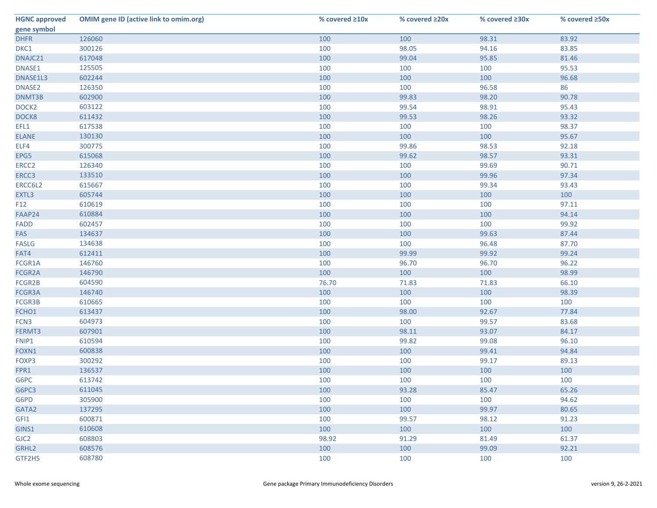| <b>HGNC approved</b> | <b>OMIM gene ID (active link to omim.org)</b> | % covered ≥10x | % covered ≥20x | % covered $\geq 30x$ | % covered ≥50x |
|----------------------|-----------------------------------------------|----------------|----------------|----------------------|----------------|
| gene symbol          |                                               |                |                |                      |                |
| <b>DHFR</b>          | 126060                                        | 100            | 100            | 98.31                | 83.92          |
| DKC1                 | 300126                                        | 100            | 98.05          | 94.16                | 83.85          |
| DNAJC21              | 617048                                        | 100            | 99.04          | 95.85                | 81.46          |
| DNASE1               | 125505                                        | 100            | 100            | 100                  | 95.53          |
| DNASE1L3             | 602244                                        | 100            | 100            | 100                  | 96.68          |
| DNASE2               | 126350                                        | 100            | 100            | 96.58                | 86             |
| DNMT3B               | 602900                                        | 100            | 99.83          | 98.20                | 90.78          |
| DOCK <sub>2</sub>    | 603122                                        | 100            | 99.54          | 98.91                | 95.43          |
| DOCK8                | 611432                                        | 100            | 99.53          | 98.26                | 93.32          |
| EFL1                 | 617538                                        | 100            | 100            | 100                  | 98.37          |
| <b>ELANE</b>         | 130130                                        | 100            | 100            | 100                  | 95.67          |
| ELF4                 | 300775                                        | 100            | 99.86          | 98.53                | 92.18          |
| EPG5                 | 615068                                        | 100            | 99.62          | 98.57                | 93.31          |
| ERCC <sub>2</sub>    | 126340                                        | 100            | 100            | 99.69                | 90.71          |
| ERCC3                | 133510                                        | 100            | 100            | 99.96                | 97.34          |
| ERCC6L2              | 615667                                        | 100            | 100            | 99.34                | 93.43          |
| EXTL3                | 605744                                        | 100            | 100            | 100                  | 100            |
| F <sub>12</sub>      | 610619                                        | 100            | 100            | 100                  | 97.11          |
| FAAP24               | 610884                                        | 100            | 100            | 100                  | 94.14          |
| FADD                 | 602457                                        | 100            | 100            | 100                  | 99.92          |
| FAS                  | 134637                                        | 100            | 100            | 99.63                | 87.44          |
| <b>FASLG</b>         | 134638                                        | 100            | 100            | 96.48                | 87.70          |
| FAT4                 | 612411                                        | 100            | 99.99          | 99.92                | 99.24          |
| FCGR1A               | 146760                                        | 100            | 96.70          | 96.70                | 96.22          |
| FCGR2A               | 146790                                        | 100            | 100            | 100                  | 98.99          |
| FCGR2B               | 604590                                        | 76.70          | 71.83          | 71.83                | 66.10          |
| FCGR3A               | 146740                                        | 100            | 100            | 100                  | 98.39          |
| FCGR3B               | 610665                                        | 100            | 100            | 100                  | 100            |
| FCHO1                | 613437                                        | 100            | 98.00          | 92.67                | 77.84          |
| FCN <sub>3</sub>     | 604973                                        | 100            | 100            | 99.57                | 83.68          |
| FERMT3               | 607901                                        | 100            | 98.11          | 93.07                | 84.17          |
| FNIP1                | 610594                                        | 100            | 99.82          | 99.08                | 96.10          |
| FOXN1                | 600838                                        | 100            | 100            | 99.41                | 94.84          |
| FOXP3                | 300292                                        | 100            | 100            | 99.17                | 89.13          |
| FPR1                 | 136537                                        | 100            | 100            | 100                  | 100            |
| G6PC                 | 613742                                        | 100            | 100            | 100                  | 100            |
| G6PC3                | 611045                                        | 100            | 93.28          | 85.47                | 65.26          |
| G6PD                 | 305900                                        | 100            | 100            | 100                  | 94.62          |
| GATA2                | 137295                                        | 100            | 100            | 99.97                | 80.65          |
| GFI1                 | 600871                                        | 100            | 99.57          | 98.12                | 91.23          |
| GINS1                | 610608                                        | 100            | 100            | 100                  | 100            |
| GJC <sub>2</sub>     | 608803                                        | 98.92          | 91.29          | 81.49                | 61.37          |
| GRHL <sub>2</sub>    | 608576                                        | 100            | 100            | 99.09                | 92.21          |
| GTF2H5               | 608780                                        | 100            | 100            | 100                  | 100            |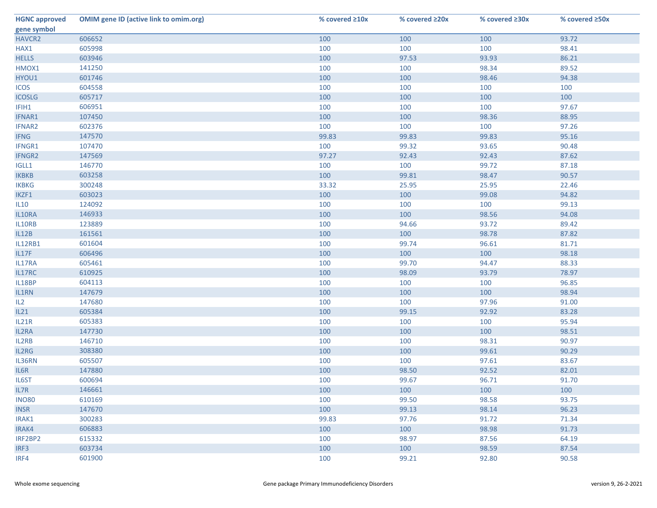| <b>HGNC approved</b> | <b>OMIM gene ID (active link to omim.org)</b> | % covered ≥10x | % covered ≥20x | % covered ≥30x | % covered ≥50x |
|----------------------|-----------------------------------------------|----------------|----------------|----------------|----------------|
| gene symbol          |                                               |                |                |                |                |
| HAVCR2               | 606652                                        | 100            | 100            | 100            | 93.72          |
| HAX1                 | 605998                                        | 100            | 100            | 100            | 98.41          |
| <b>HELLS</b>         | 603946                                        | 100            | 97.53          | 93.93          | 86.21          |
| HMOX1                | 141250                                        | 100            | 100            | 98.34          | 89.52          |
| HYOU1                | 601746                                        | 100            | 100            | 98.46          | 94.38          |
| <b>ICOS</b>          | 604558                                        | 100            | 100            | 100            | 100            |
| <b>ICOSLG</b>        | 605717                                        | 100            | 100            | 100            | 100            |
| IFIH1                | 606951                                        | 100            | 100            | 100            | 97.67          |
| IFNAR1               | 107450                                        | 100            | 100            | 98.36          | 88.95          |
| IFNAR2               | 602376                                        | 100            | 100            | 100            | 97.26          |
| <b>IFNG</b>          | 147570                                        | 99.83          | 99.83          | 99.83          | 95.16          |
| IFNGR1               | 107470                                        | 100            | 99.32          | 93.65          | 90.48          |
| <b>IFNGR2</b>        | 147569                                        | 97.27          | 92.43          | 92.43          | 87.62          |
| IGLL1                | 146770                                        | 100            | 100            | 99.72          | 87.18          |
| <b>IKBKB</b>         | 603258                                        | 100            | 99.81          | 98.47          | 90.57          |
| <b>IKBKG</b>         | 300248                                        | 33.32          | 25.95          | 25.95          | 22.46          |
| IKZF1                | 603023                                        | 100            | 100            | 99.08          | 94.82          |
| IL10                 | 124092                                        | 100            | 100            | 100            | 99.13          |
| IL10RA               | 146933                                        | 100            | 100            | 98.56          | 94.08          |
| IL10RB               | 123889                                        | 100            | 94.66          | 93.72          | 89.42          |
| IL12B                | 161561                                        | 100            | 100            | 98.78          | 87.82          |
| <b>IL12RB1</b>       | 601604                                        | 100            | 99.74          | 96.61          | 81.71          |
| IL17F                | 606496                                        | 100            | 100            | 100            | 98.18          |
| IL17RA               | 605461                                        | 100            | 99.70          | 94.47          | 88.33          |
| IL17RC               | 610925                                        | 100            | 98.09          | 93.79          | 78.97          |
| IL18BP               | 604113                                        | 100            | 100            | 100            | 96.85          |
| IL1RN                | 147679                                        | 100            | 100            | 100            | 98.94          |
| IL2                  | 147680                                        | 100            | 100            | 97.96          | 91.00          |
| IL21                 | 605384                                        | 100            | 99.15          | 92.92          | 83.28          |
| IL21R                | 605383                                        | 100            | 100            | 100            | 95.94          |
| IL2RA                | 147730                                        | 100            | 100            | 100            | 98.51          |
| IL2RB                | 146710                                        | 100            | 100            | 98.31          | 90.97          |
| IL2RG                | 308380                                        | 100            | 100            | 99.61          | 90.29          |
| IL36RN               | 605507                                        | 100            | 100            | 97.61          | 83.67          |
| IL6R                 | 147880                                        | 100            | 98.50          | 92.52          | 82.01          |
| IL6ST                | 600694                                        | 100            | 99.67          | 96.71          | 91.70          |
| IL7R                 | 146661                                        | 100            | 100            | 100            | 100            |
| <b>INO80</b>         | 610169                                        | 100            | 99.50          | 98.58          | 93.75          |
| <b>INSR</b>          | 147670                                        | 100            | 99.13          | 98.14          | 96.23          |
| IRAK1                | 300283                                        | 99.83          | 97.76          | 91.72          | 71.34          |
| IRAK4                | 606883                                        | 100            | 100            | 98.98          | 91.73          |
| IRF2BP2              | 615332                                        | 100            | 98.97          | 87.56          | 64.19          |
| IRF3                 | 603734                                        | 100            | 100            | 98.59          | 87.54          |
| IRF4                 | 601900                                        | 100            | 99.21          | 92.80          | 90.58          |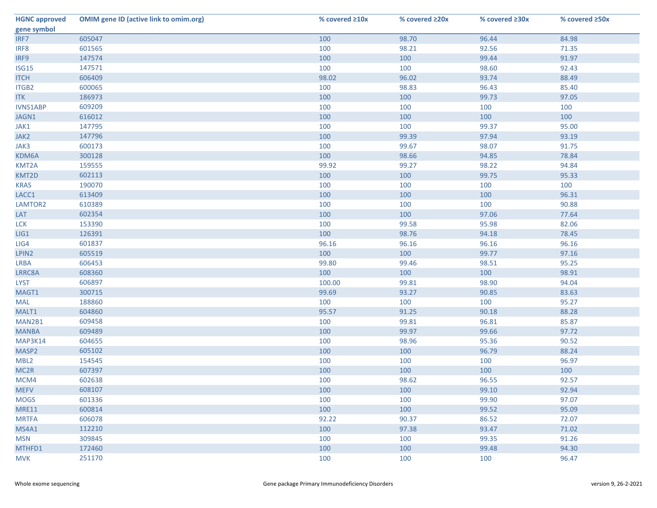| <b>HGNC approved</b> | <b>OMIM gene ID (active link to omim.org)</b> | % covered $\geq 10x$ | % covered ≥20x | % covered $\geq 30x$ | % covered ≥50x |
|----------------------|-----------------------------------------------|----------------------|----------------|----------------------|----------------|
| gene symbol          |                                               |                      |                |                      |                |
| IRF7                 | 605047                                        | 100                  | 98.70          | 96.44                | 84.98          |
| IRF8                 | 601565                                        | 100                  | 98.21          | 92.56                | 71.35          |
| IRF9                 | 147574                                        | 100                  | 100            | 99.44                | 91.97          |
| <b>ISG15</b>         | 147571                                        | 100                  | 100            | 98.60                | 92.43          |
| <b>ITCH</b>          | 606409                                        | 98.02                | 96.02          | 93.74                | 88.49          |
| ITGB2                | 600065                                        | 100                  | 98.83          | 96.43                | 85.40          |
| <b>ITK</b>           | 186973                                        | 100                  | 100            | 99.73                | 97.05          |
| <b>IVNS1ABP</b>      | 609209                                        | 100                  | 100            | 100                  | 100            |
| JAGN1                | 616012                                        | 100                  | 100            | 100                  | 100            |
| JAK1                 | 147795                                        | 100                  | 100            | 99.37                | 95.00          |
| JAK2                 | 147796                                        | 100                  | 99.39          | 97.94                | 93.19          |
| JAK3                 | 600173                                        | 100                  | 99.67          | 98.07                | 91.75          |
| KDM6A                | 300128                                        | 100                  | 98.66          | 94.85                | 78.84          |
| KMT2A                | 159555                                        | 99.92                | 99.27          | 98.22                | 94.84          |
| KMT2D                | 602113                                        | 100                  | 100            | 99.75                | 95.33          |
| <b>KRAS</b>          | 190070                                        | 100                  | 100            | 100                  | 100            |
| LACC1                | 613409                                        | 100                  | 100            | 100                  | 96.31          |
| LAMTOR2              | 610389                                        | 100                  | 100            | 100                  | 90.88          |
| LAT                  | 602354                                        | 100                  | 100            | 97.06                | 77.64          |
| <b>LCK</b>           | 153390                                        | 100                  | 99.58          | 95.98                | 82.06          |
| LIG1                 | 126391                                        | 100                  | 98.76          | 94.18                | 78.45          |
| LIG4                 | 601837                                        | 96.16                | 96.16          | 96.16                | 96.16          |
| LPIN2                | 605519                                        | 100                  | 100            | 99.77                | 97.16          |
| <b>LRBA</b>          | 606453                                        | 99.80                | 99.46          | 98.51                | 95.25          |
| LRRC8A               | 608360                                        | 100                  | 100            | 100                  | 98.91          |
| <b>LYST</b>          | 606897                                        | 100.00               | 99.81          | 98.90                | 94.04          |
| MAGT1                | 300715                                        | 99.69                | 93.27          | 90.85                | 83.63          |
| MAL                  | 188860                                        | 100                  | 100            | 100                  | 95.27          |
| MALT1                | 604860                                        | 95.57                | 91.25          | 90.18                | 88.28          |
| MAN2B1               | 609458                                        | 100                  | 99.81          | 96.81                | 85.87          |
| <b>MANBA</b>         | 609489                                        | 100                  | 99.97          | 99.66                | 97.72          |
| MAP3K14              | 604655                                        | 100                  | 98.96          | 95.36                | 90.52          |
| MASP2                | 605102                                        | 100                  | 100            | 96.79                | 88.24          |
| MBL <sub>2</sub>     | 154545                                        | 100                  | 100            | 100                  | 96.97          |
| MC <sub>2R</sub>     | 607397                                        | 100                  | 100            | 100                  | 100            |
| MCM4                 | 602638                                        | 100                  | 98.62          | 96.55                | 92.57          |
| <b>MEFV</b>          | 608107                                        | 100                  | 100            | 99.10                | 92.94          |
| <b>MOGS</b>          | 601336                                        | 100                  | 100            | 99.90                | 97.07          |
| <b>MRE11</b>         | 600814                                        | 100                  | 100            | 99.52                | 95.09          |
| <b>MRTFA</b>         | 606078                                        | 92.22                | 90.37          | 86.52                | 72.07          |
| MS4A1                | 112210                                        | 100                  | 97.38          | 93.47                | 71.02          |
| <b>MSN</b>           | 309845                                        | 100                  | 100            | 99.35                | 91.26          |
| MTHFD1               | 172460                                        | 100                  | 100            | 99.48                | 94.30          |
| <b>MVK</b>           | 251170                                        | 100                  | 100            | 100                  | 96.47          |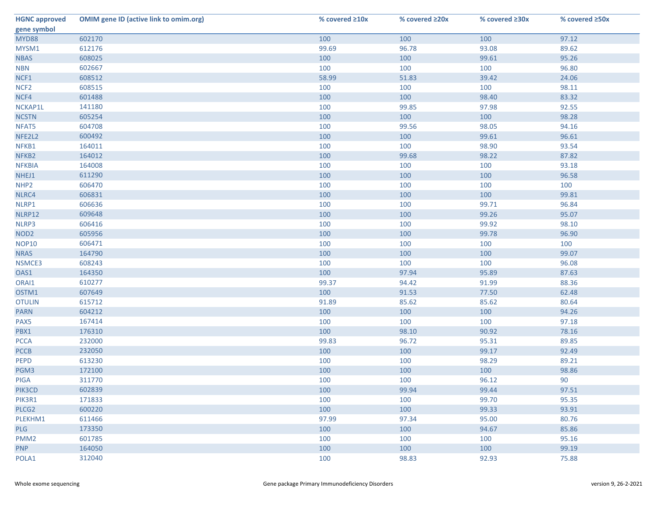| <b>HGNC approved</b> | <b>OMIM gene ID (active link to omim.org)</b> | % covered ≥10x | % covered ≥20x | % covered $\geq 30x$ | % covered ≥50x |
|----------------------|-----------------------------------------------|----------------|----------------|----------------------|----------------|
| gene symbol          |                                               |                |                |                      |                |
| <b>MYD88</b>         | 602170                                        | 100            | 100            | 100                  | 97.12          |
| MYSM1                | 612176                                        | 99.69          | 96.78          | 93.08                | 89.62          |
| <b>NBAS</b>          | 608025                                        | 100            | 100            | 99.61                | 95.26          |
| <b>NBN</b>           | 602667                                        | 100            | 100            | 100                  | 96.80          |
| NCF1                 | 608512                                        | 58.99          | 51.83          | 39.42                | 24.06          |
| NCF <sub>2</sub>     | 608515                                        | 100            | 100            | 100                  | 98.11          |
| NCF4                 | 601488                                        | 100            | 100            | 98.40                | 83.32          |
| NCKAP1L              | 141180                                        | 100            | 99.85          | 97.98                | 92.55          |
| <b>NCSTN</b>         | 605254                                        | 100            | 100            | 100                  | 98.28          |
| NFAT5                | 604708                                        | 100            | 99.56          | 98.05                | 94.16          |
| NFE2L2               | 600492                                        | 100            | 100            | 99.61                | 96.61          |
| NFKB1                | 164011                                        | 100            | 100            | 98.90                | 93.54          |
| NFKB2                | 164012                                        | 100            | 99.68          | 98.22                | 87.82          |
| <b>NFKBIA</b>        | 164008                                        | 100            | 100            | 100                  | 93.18          |
| NHEJ1                | 611290                                        | 100            | 100            | 100                  | 96.58          |
| NHP <sub>2</sub>     | 606470                                        | 100            | 100            | 100                  | 100            |
| NLRC4                | 606831                                        | 100            | 100            | 100                  | 99.81          |
| NLRP1                | 606636                                        | 100            | 100            | 99.71                | 96.84          |
| NLRP12               | 609648                                        | 100            | 100            | 99.26                | 95.07          |
| NLRP3                | 606416                                        | 100            | 100            | 99.92                | 98.10          |
| NOD <sub>2</sub>     | 605956                                        | 100            | 100            | 99.78                | 96.90          |
| <b>NOP10</b>         | 606471                                        | 100            | 100            | 100                  | 100            |
| <b>NRAS</b>          | 164790                                        | 100            | 100            | 100                  | 99.07          |
| NSMCE3               | 608243                                        | 100            | 100            | 100                  | 96.08          |
| OAS1                 | 164350                                        | 100            | 97.94          | 95.89                | 87.63          |
| ORAI1                | 610277                                        | 99.37          | 94.42          | 91.99                | 88.36          |
| OSTM1                | 607649                                        | 100            | 91.53          | 77.50                | 62.48          |
| <b>OTULIN</b>        | 615712                                        | 91.89          | 85.62          | 85.62                | 80.64          |
| <b>PARN</b>          | 604212                                        | 100            | 100            | 100                  | 94.26          |
| PAX5                 | 167414                                        | 100            | 100            | 100                  | 97.18          |
| PBX1                 | 176310                                        | 100            | 98.10          | 90.92                | 78.16          |
| <b>PCCA</b>          | 232000                                        | 99.83          | 96.72          | 95.31                | 89.85          |
| <b>PCCB</b>          | 232050                                        | 100            | 100            | 99.17                | 92.49          |
| <b>PEPD</b>          | 613230                                        | 100            | 100            | 98.29                | 89.21          |
| PGM3                 | 172100                                        | 100            | 100            | 100                  | 98.86          |
| PIGA                 | 311770                                        | 100            | 100            | 96.12                | 90             |
| PIK3CD               | 602839                                        | 100            | 99.94          | 99.44                | 97.51          |
| PIK3R1               | 171833                                        | 100            | 100            | 99.70                | 95.35          |
| PLCG2                | 600220                                        | 100            | 100            | 99.33                | 93.91          |
| PLEKHM1              | 611466                                        | 97.99          | 97.34          | 95.00                | 80.76          |
| <b>PLG</b>           | 173350                                        | 100            | 100            | 94.67                | 85.86          |
| PMM <sub>2</sub>     | 601785                                        | 100            | 100            | 100                  | 95.16          |
| <b>PNP</b>           | 164050                                        | 100            | 100            | 100                  | 99.19          |
| POLA1                | 312040                                        | 100            | 98.83          | 92.93                | 75.88          |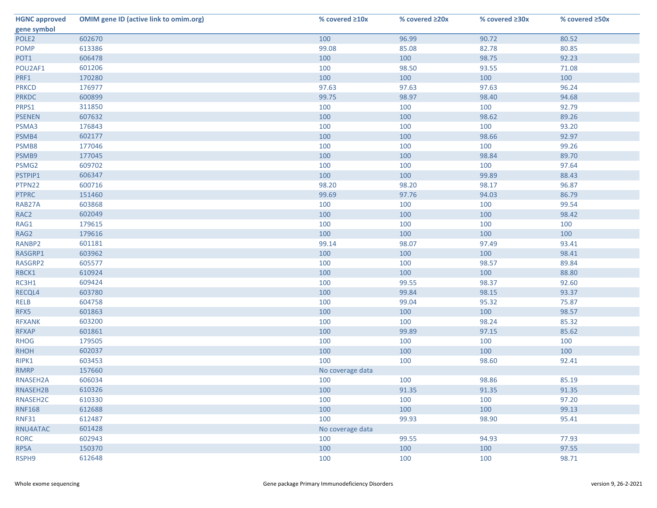| <b>HGNC approved</b> | <b>OMIM gene ID (active link to omim.org)</b> | % covered $\geq 10x$ | % covered ≥20x | % covered $\geq 30x$ | % covered ≥50x |
|----------------------|-----------------------------------------------|----------------------|----------------|----------------------|----------------|
| gene symbol          |                                               |                      |                |                      |                |
| POLE <sub>2</sub>    | 602670                                        | 100                  | 96.99          | 90.72                | 80.52          |
| <b>POMP</b>          | 613386                                        | 99.08                | 85.08          | 82.78                | 80.85          |
| POT1                 | 606478                                        | 100                  | 100            | 98.75                | 92.23          |
| POU2AF1              | 601206                                        | 100                  | 98.50          | 93.55                | 71.08          |
| PRF1                 | 170280                                        | 100                  | 100            | 100                  | 100            |
| <b>PRKCD</b>         | 176977                                        | 97.63                | 97.63          | 97.63                | 96.24          |
| <b>PRKDC</b>         | 600899                                        | 99.75                | 98.97          | 98.40                | 94.68          |
| PRPS1                | 311850                                        | 100                  | 100            | 100                  | 92.79          |
| <b>PSENEN</b>        | 607632                                        | 100                  | 100            | 98.62                | 89.26          |
| PSMA3                | 176843                                        | 100                  | 100            | 100                  | 93.20          |
| PSMB4                | 602177                                        | 100                  | 100            | 98.66                | 92.97          |
| PSMB8                | 177046                                        | 100                  | 100            | 100                  | 99.26          |
| PSMB9                | 177045                                        | 100                  | 100            | 98.84                | 89.70          |
| PSMG2                | 609702                                        | 100                  | 100            | 100                  | 97.64          |
| PSTPIP1              | 606347                                        | 100                  | 100            | 99.89                | 88.43          |
| PTPN22               | 600716                                        | 98.20                | 98.20          | 98.17                | 96.87          |
| <b>PTPRC</b>         | 151460                                        | 99.69                | 97.76          | 94.03                | 86.79          |
| RAB27A               | 603868                                        | 100                  | 100            | 100                  | 99.54          |
| RAC <sub>2</sub>     | 602049                                        | 100                  | 100            | 100                  | 98.42          |
| RAG1                 | 179615                                        | 100                  | 100            | 100                  | 100            |
| RAG2                 | 179616                                        | 100                  | 100            | 100                  | 100            |
| RANBP2               | 601181                                        | 99.14                | 98.07          | 97.49                | 93.41          |
| RASGRP1              | 603962                                        | 100                  | 100            | 100                  | 98.41          |
| RASGRP2              | 605577                                        | 100                  | 100            | 98.57                | 89.84          |
| RBCK1                | 610924                                        | 100                  | 100            | 100                  | 88.80          |
| RC3H1                | 609424                                        | 100                  | 99.55          | 98.37                | 92.60          |
| RECQL4               | 603780                                        | 100                  | 99.84          | 98.15                | 93.37          |
| <b>RELB</b>          | 604758                                        | 100                  | 99.04          | 95.32                | 75.87          |
| RFX5                 | 601863                                        | 100                  | 100            | 100                  | 98.57          |
| <b>RFXANK</b>        | 603200                                        | 100                  | 100            | 98.24                | 85.32          |
| <b>RFXAP</b>         | 601861                                        | 100                  | 99.89          | 97.15                | 85.62          |
| <b>RHOG</b>          | 179505                                        | 100                  | 100            | 100                  | 100            |
| <b>RHOH</b>          | 602037                                        | 100                  | 100            | 100                  | 100            |
| RIPK1                | 603453                                        | 100                  | 100            | 98.60                | 92.41          |
| <b>RMRP</b>          | 157660                                        | No coverage data     |                |                      |                |
| RNASEH2A             | 606034                                        | 100                  | 100            | 98.86                | 85.19          |
| RNASEH2B             | 610326                                        | 100                  | 91.35          | 91.35                | 91.35          |
| RNASEH2C             | 610330                                        | 100                  | 100            | 100                  | 97.20          |
| <b>RNF168</b>        | 612688                                        | 100                  | 100            | 100                  | 99.13          |
| <b>RNF31</b>         | 612487                                        | 100                  | 99.93          | 98.90                | 95.41          |
| RNU4ATAC             | 601428                                        | No coverage data     |                |                      |                |
| <b>RORC</b>          | 602943                                        | 100                  | 99.55          | 94.93                | 77.93          |
| <b>RPSA</b>          | 150370                                        | 100                  | 100            | 100                  | 97.55          |
| RSPH9                | 612648                                        | 100                  | 100            | 100                  | 98.71          |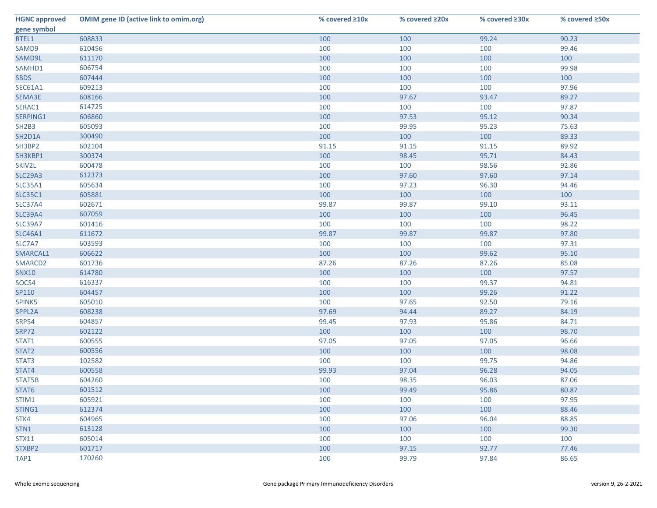| <b>HGNC approved</b> | <b>OMIM gene ID (active link to omim.org)</b> | % covered ≥10x | % covered ≥20x | % covered ≥30x | % covered ≥50x |
|----------------------|-----------------------------------------------|----------------|----------------|----------------|----------------|
| gene symbol          |                                               |                |                |                |                |
| RTEL1                | 608833                                        | 100            | 100            | 99.24          | 90.23          |
| SAMD9                | 610456                                        | 100            | 100            | 100            | 99.46          |
| SAMD9L               | 611170                                        | 100            | 100            | 100            | 100            |
| SAMHD1               | 606754                                        | 100            | 100            | 100            | 99.98          |
| <b>SBDS</b>          | 607444                                        | 100            | 100            | 100            | 100            |
| <b>SEC61A1</b>       | 609213                                        | 100            | 100            | 100            | 97.96          |
| SEMA3E               | 608166                                        | 100            | 97.67          | 93.47          | 89.27          |
| SERAC1               | 614725                                        | 100            | 100            | 100            | 97.87          |
| SERPING1             | 606860                                        | 100            | 97.53          | 95.12          | 90.34          |
| <b>SH2B3</b>         | 605093                                        | 100            | 99.95          | 95.23          | 75.63          |
| SH2D1A               | 300490                                        | 100            | 100            | 100            | 89.33          |
| SH3BP2               | 602104                                        | 91.15          | 91.15          | 91.15          | 89.92          |
| SH3KBP1              | 300374                                        | 100            | 98.45          | 95.71          | 84.43          |
| SKIV2L               | 600478                                        | 100            | 100            | 98.56          | 92.86          |
| <b>SLC29A3</b>       | 612373                                        | 100            | 97.60          | 97.60          | 97.14          |
| <b>SLC35A1</b>       | 605634                                        | 100            | 97.23          | 96.30          | 94.46          |
| <b>SLC35C1</b>       | 605881                                        | 100            | 100            | 100            | 100            |
| <b>SLC37A4</b>       | 602671                                        | 99.87          | 99.87          | 99.10          | 93.11          |
| <b>SLC39A4</b>       | 607059                                        | 100            | 100            | 100            | 96.45          |
| <b>SLC39A7</b>       | 601416                                        | 100            | 100            | 100            | 98.22          |
| <b>SLC46A1</b>       | 611672                                        | 99.87          | 99.87          | 99.87          | 97.80          |
| SLC7A7               | 603593                                        | 100            | 100            | 100            | 97.31          |
| SMARCAL1             | 606622                                        | 100            | 100            | 99.62          | 95.10          |
| SMARCD2              | 601736                                        | 87.26          | 87.26          | 87.26          | 85.08          |
| <b>SNX10</b>         | 614780                                        | 100            | 100            | 100            | 97.57          |
| SOCS4                | 616337                                        | 100            | 100            | 99.37          | 94.81          |
| SP110                | 604457                                        | 100            | 100            | 99.26          | 91.22          |
| SPINK5               | 605010                                        | 100            | 97.65          | 92.50          | 79.16          |
| SPPL2A               | 608238                                        | 97.69          | 94.44          | 89.27          | 84.19          |
| <b>SRP54</b>         | 604857                                        | 99.45          | 97.93          | 95.86          | 84.71          |
| <b>SRP72</b>         | 602122                                        | 100            | 100            | 100            | 98.70          |
| STAT1                | 600555                                        | 97.05          | 97.05          | 97.05          | 96.66          |
| STAT2                | 600556                                        | 100            | 100            | 100            | 98.08          |
| STAT3                | 102582                                        | 100            | 100            | 99.75          | 94.86          |
| STAT4                | 600558                                        | 99.93          | 97.04          | 96.28          | 94.05          |
| STAT5B               | 604260                                        | 100            | 98.35          | 96.03          | 87.06          |
| STAT6                | 601512                                        | 100            | 99.49          | 95.86          | 80.87          |
| STIM1                | 605921                                        | 100            | 100            | 100            | 97.95          |
| STING1               | 612374                                        | 100            | 100            | 100            | 88.46          |
| STK4                 | 604965                                        | 100            | 97.06          | 96.04          | 88.85          |
| STN1                 | 613128                                        | 100            | 100            | 100            | 99.30          |
| <b>STX11</b>         | 605014                                        | 100            | 100            | 100            | 100            |
| STXBP2               | 601717                                        | 100            | 97.15          | 92.77          | 77.46          |
| TAP1                 | 170260                                        | 100            | 99.79          | 97.84          | 86.65          |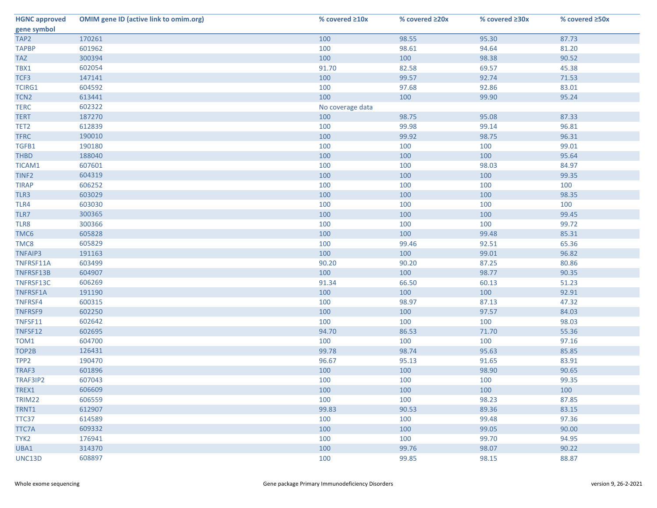| <b>HGNC approved</b> | <b>OMIM gene ID (active link to omim.org)</b> | % covered $\geq 10x$ | % covered ≥20x | % covered ≥30x | % covered ≥50x |
|----------------------|-----------------------------------------------|----------------------|----------------|----------------|----------------|
| gene symbol          |                                               |                      |                |                |                |
| TAP2                 | 170261                                        | 100                  | 98.55          | 95.30          | 87.73          |
| <b>TAPBP</b>         | 601962                                        | 100                  | 98.61          | 94.64          | 81.20          |
| <b>TAZ</b>           | 300394                                        | 100                  | 100            | 98.38          | 90.52          |
| TBX1                 | 602054                                        | 91.70                | 82.58          | 69.57          | 45.38          |
| TCF3                 | 147141                                        | 100                  | 99.57          | 92.74          | 71.53          |
| <b>TCIRG1</b>        | 604592                                        | 100                  | 97.68          | 92.86          | 83.01          |
| TCN <sub>2</sub>     | 613441                                        | 100                  | 100            | 99.90          | 95.24          |
| <b>TERC</b>          | 602322                                        | No coverage data     |                |                |                |
| <b>TERT</b>          | 187270                                        | 100                  | 98.75          | 95.08          | 87.33          |
| TET <sub>2</sub>     | 612839                                        | 100                  | 99.98          | 99.14          | 96.81          |
| <b>TFRC</b>          | 190010                                        | 100                  | 99.92          | 98.75          | 96.31          |
| TGFB1                | 190180                                        | 100                  | 100            | 100            | 99.01          |
| <b>THBD</b>          | 188040                                        | 100                  | 100            | 100            | 95.64          |
| TICAM1               | 607601                                        | 100                  | 100            | 98.03          | 84.97          |
| TINF <sub>2</sub>    | 604319                                        | 100                  | 100            | 100            | 99.35          |
| <b>TIRAP</b>         | 606252                                        | 100                  | 100            | 100            | 100            |
| TLR3                 | 603029                                        | 100                  | 100            | 100            | 98.35          |
| TLR4                 | 603030                                        | 100                  | 100            | 100            | 100            |
| TLR7                 | 300365                                        | 100                  | 100            | 100            | 99.45          |
| TLR8                 | 300366                                        | 100                  | 100            | 100            | 99.72          |
| TMC6                 | 605828                                        | 100                  | 100            | 99.48          | 85.31          |
| TMC8                 | 605829                                        | 100                  | 99.46          | 92.51          | 65.36          |
| <b>TNFAIP3</b>       | 191163                                        | 100                  | 100            | 99.01          | 96.82          |
| TNFRSF11A            | 603499                                        | 90.20                | 90.20          | 87.25          | 80.86          |
| TNFRSF13B            | 604907                                        | 100                  | 100            | 98.77          | 90.35          |
| TNFRSF13C            | 606269                                        | 91.34                | 66.50          | 60.13          | 51.23          |
| TNFRSF1A             | 191190                                        | 100                  | 100            | 100            | 92.91          |
| TNFRSF4              | 600315                                        | 100                  | 98.97          | 87.13          | 47.32          |
| <b>TNFRSF9</b>       | 602250                                        | 100                  | 100            | 97.57          | 84.03          |
| TNFSF11              | 602642                                        | 100                  | 100            | 100            | 98.03          |
| TNFSF12              | 602695                                        | 94.70                | 86.53          | 71.70          | 55.36          |
| TOM1                 | 604700                                        | 100                  | 100            | 100            | 97.16          |
| TOP2B                | 126431                                        | 99.78                | 98.74          | 95.63          | 85.85          |
| TPP <sub>2</sub>     | 190470                                        | 96.67                | 95.13          | 91.65          | 83.91          |
| TRAF3                | 601896                                        | 100                  | 100            | 98.90          | 90.65          |
| TRAF3IP2             | 607043                                        | 100                  | 100            | 100            | 99.35          |
| TREX1                | 606609                                        | 100                  | 100            | 100            | 100            |
| TRIM22               | 606559                                        | 100                  | 100            | 98.23          | 87.85          |
| TRNT1                | 612907                                        | 99.83                | 90.53          | 89.36          | 83.15          |
| TTC37                | 614589                                        | 100                  | 100            | 99.48          | 97.36          |
| <b>TTC7A</b>         | 609332                                        | 100                  | 100            | 99.05          | 90.00          |
| TYK <sub>2</sub>     | 176941                                        | 100                  | 100            | 99.70          | 94.95          |
| UBA1                 | 314370                                        | 100                  | 99.76          | 98.07          | 90.22          |
| UNC13D               | 608897                                        | 100                  | 99.85          | 98.15          | 88.87          |